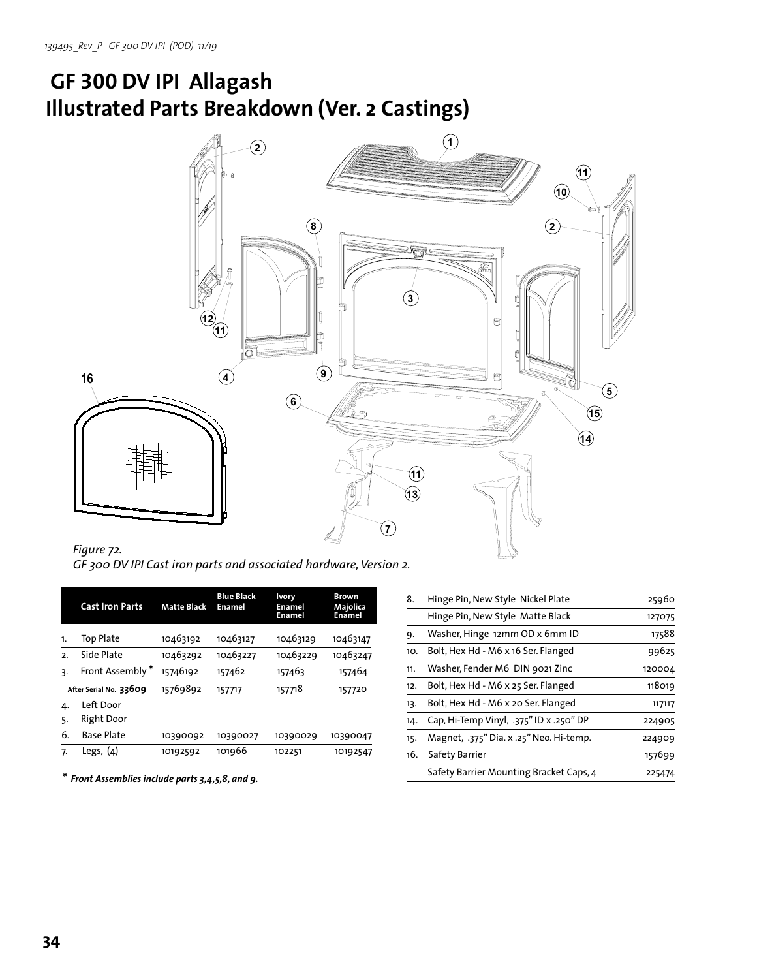## **GF 300 DV IPI Allagash Illustrated Parts Breakdown (Ver. 2 Castings)**



*Figure 72. GF 300 DV IPI Cast iron parts and associated hardware, Version 2.*

|                        | <b>Cast Iron Parts</b> | <b>Matte Black</b> | <b>Blue Black</b><br>Enamel | <b>Ivory</b><br><b>Enamel</b><br><b>Enamel</b> | <b>Brown</b><br>Majolica<br>Enamel |
|------------------------|------------------------|--------------------|-----------------------------|------------------------------------------------|------------------------------------|
| 1.                     | Top Plate              | 10463192           | 10463127                    | 10463129                                       | 10463147                           |
| 2.                     | Side Plate             | 10463292           | 10463227                    | 10463229                                       | 10463247                           |
| 3.                     | Front Assembly*        | 15746192           | 157462                      | 157463                                         | 157464                             |
| After Serial No. 33609 |                        | 15769892           | 157717                      | 157718                                         | 157720                             |
| 4.                     | Left Door              |                    |                             |                                                |                                    |
| 5.                     | Right Door             |                    |                             |                                                |                                    |
| 6.                     | <b>Base Plate</b>      | 10390092           | 10390027                    | 10390029                                       | 10390047                           |
| 7.                     | Legs, $(4)$            | 10192592           | 101966                      | 102251                                         | 10192547                           |
|                        |                        |                    |                             |                                                |                                    |

*\* Front Assemblies include parts 3,4,5,8, and 9.*

| 8.  | Hinge Pin, New Style Nickel Plate       | 25960  |
|-----|-----------------------------------------|--------|
|     | Hinge Pin, New Style Matte Black        | 127075 |
| 9.  | Washer, Hinge 12mm OD x 6mm ID          | 17588  |
| 10. | Bolt, Hex Hd - M6 x 16 Ser. Flanged     | 99625  |
| 11. | Washer, Fender M6 DIN 9021 Zinc         | 120004 |
| 12. | Bolt, Hex Hd - M6 x 25 Ser. Flanged     | 118019 |
| 13. | Bolt, Hex Hd - M6 x 20 Ser. Flanged     | 117117 |
| 14. | Cap, Hi-Temp Vinyl, .375" ID x .250" DP | 224905 |
| 15. | Magnet, .375" Dia. x .25" Neo. Hi-temp. | 224909 |
| 16. | Safety Barrier                          | 157699 |
|     | Safety Barrier Mounting Bracket Caps, 4 | 225474 |
|     |                                         |        |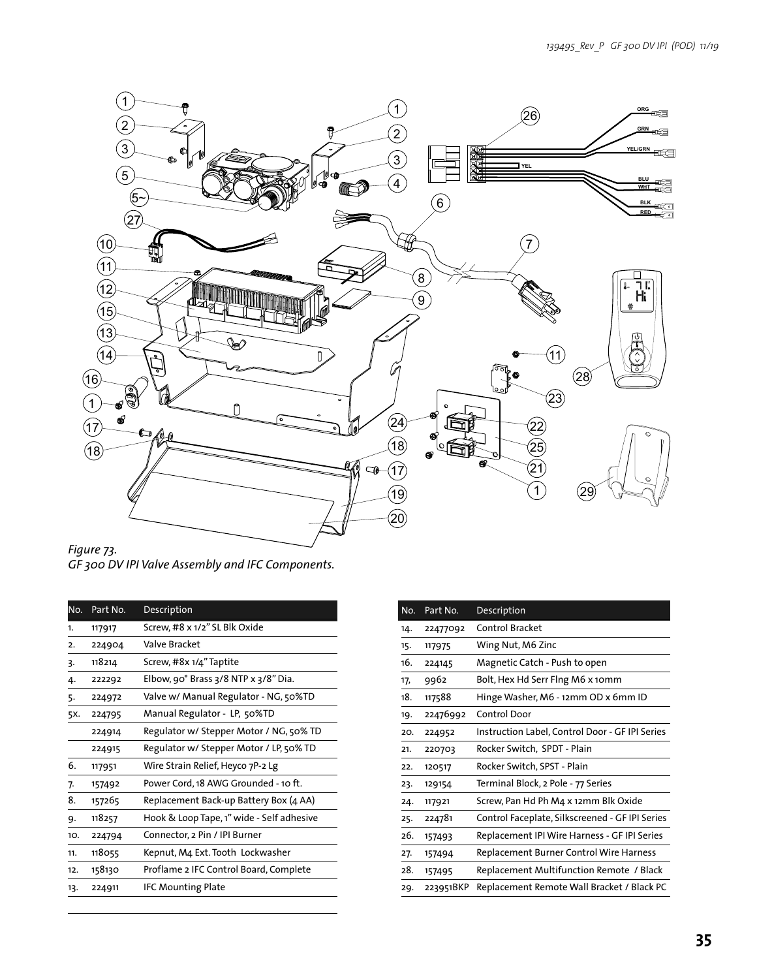

*Figure 73. GF 300 DV IPI Valve Assembly and IFC Components.* 

| Part No. | Description                               |
|----------|-------------------------------------------|
| 117917   | Screw, #8 x 1/2" SL Blk Oxide             |
| 224904   | Valve Bracket                             |
| 118214   | Screw, #8x 1/4" Taptite                   |
| 222292   | Elbow, 90° Brass 3/8 NTP x 3/8" Dia.      |
| 224972   | Valve w/ Manual Regulator - NG, 50%TD     |
| 224795   | Manual Regulator - LP, 50%TD              |
| 224914   | Regulator w/ Stepper Motor / NG, 50% TD   |
| 224915   | Regulator w/ Stepper Motor / LP, 50% TD   |
| 117951   | Wire Strain Relief, Heyco 7P-2 Lg         |
| 157492   | Power Cord, 18 AWG Grounded - 10 ft.      |
| 157265   | Replacement Back-up Battery Box (4 AA)    |
| 118257   | Hook & Loop Tape, 1" wide - Self adhesive |
| 224794   | Connector, 2 Pin / IPI Burner             |
| 118055   | Kepnut, M4 Ext. Tooth Lockwasher          |
| 158130   | Proflame 2 IFC Control Board, Complete    |
| 224911   | <b>IFC Mounting Plate</b>                 |
|          |                                           |

| No. | Part No.  | Description                                     |
|-----|-----------|-------------------------------------------------|
| 14. | 22477092  | <b>Control Bracket</b>                          |
| 15. | 117975    | Wing Nut, M6 Zinc                               |
| 16. | 224145    | Magnetic Catch - Push to open                   |
| 17, | 9962      | Bolt, Hex Hd Serr Flng M6 x 10mm                |
| 18. | 117588    | Hinge Washer, M6 - 12mm OD x 6mm ID             |
| 19. | 22476992  | <b>Control Door</b>                             |
| 20. | 224952    | Instruction Label, Control Door - GF IPI Series |
| 21. | 220703    | Rocker Switch, SPDT - Plain                     |
| 22. | 120517    | Rocker Switch, SPST - Plain                     |
| 23. | 129154    | Terminal Block, 2 Pole - 77 Series              |
| 24. | 117921    | Screw, Pan Hd Ph M4 x 12mm Blk Oxide            |
| 25. | 224781    | Control Faceplate, Silkscreened - GF IPI Series |
| 26. | 157493    | Replacement IPI Wire Harness - GF IPI Series    |
| 27. | 157494    | <b>Replacement Burner Control Wire Harness</b>  |
| 28. | 157495    | Replacement Multifunction Remote / Black        |
| 29. | 223951BKP | Replacement Remote Wall Bracket / Black PC      |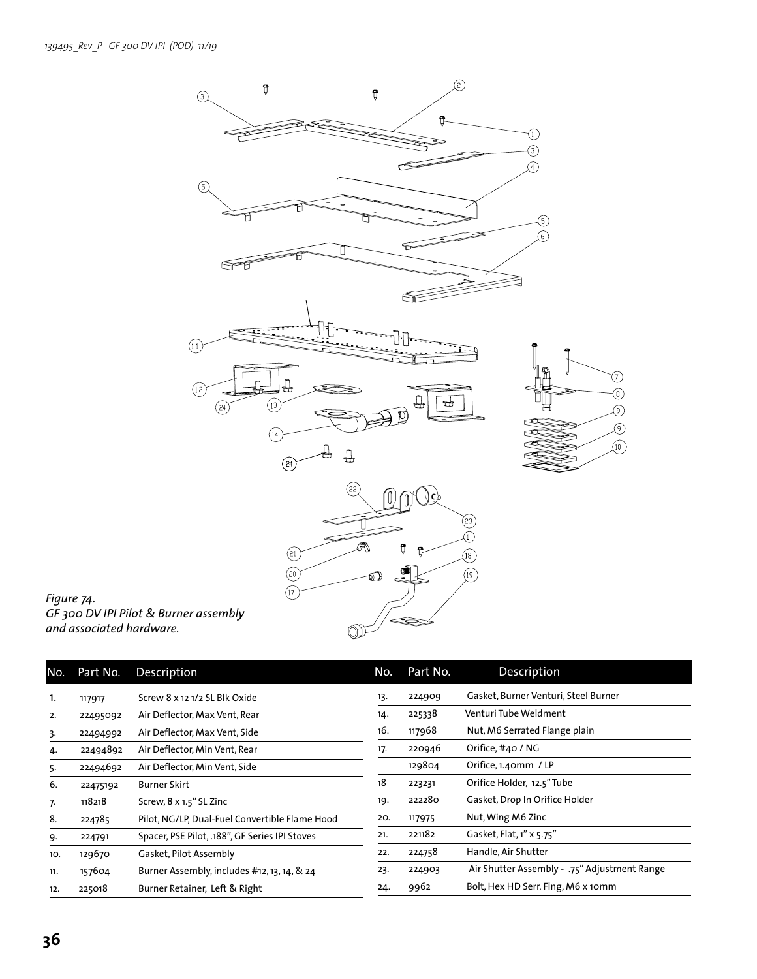

## *Figure 74. GF 300 DV IPI Pilot & Burner assembly and associated hardware.*

| No. | Part No. | <b>Description</b>                             | No. | Part No. | Description                                  |
|-----|----------|------------------------------------------------|-----|----------|----------------------------------------------|
| 1.  | 117917   | Screw 8 x 12 1/2 SL Blk Oxide                  | 13. | 224909   | Gasket, Burner Venturi, Steel Burner         |
| 2.  | 22495092 | Air Deflector, Max Vent, Rear                  | 14. | 225338   | Venturi Tube Weldment                        |
| 3.  | 22494992 | Air Deflector, Max Vent, Side                  | 16. | 117968   | Nut, M6 Serrated Flange plain                |
| 4.  | 22494892 | Air Deflector, Min Vent, Rear                  | 17. | 220946   | Orifice, #40 / NG                            |
| 5.  | 22494692 | Air Deflector, Min Vent, Side                  |     | 129804   | Orifice, 1.40mm / LP                         |
| 6.  | 22475192 | Burner Skirt                                   | 18  | 223231   | Orifice Holder, 12.5" Tube                   |
| 7.  | 118218   | Screw, 8 x 1.5" SL Zinc                        | 19. | 222280   | Gasket, Drop In Orifice Holder               |
| 8.  | 224785   | Pilot, NG/LP, Dual-Fuel Convertible Flame Hood | 20. | 117975   | Nut, Wing M6 Zinc                            |
| 9.  | 224791   | Spacer, PSE Pilot, .188", GF Series IPI Stoves | 21. | 221182   | Gasket, Flat, 1" x 5.75"                     |
| 10. | 129670   | Gasket, Pilot Assembly                         | 22. | 224758   | Handle, Air Shutter                          |
| 11. | 157604   | Burner Assembly, includes #12, 13, 14, & 24    | 23. | 224903   | Air Shutter Assembly - .75" Adjustment Range |
| 12. | 225018   | Burner Retainer, Left & Right                  | 24. | 9962     | Bolt, Hex HD Serr. Flng, M6 x 10mm           |
|     |          |                                                |     |          |                                              |